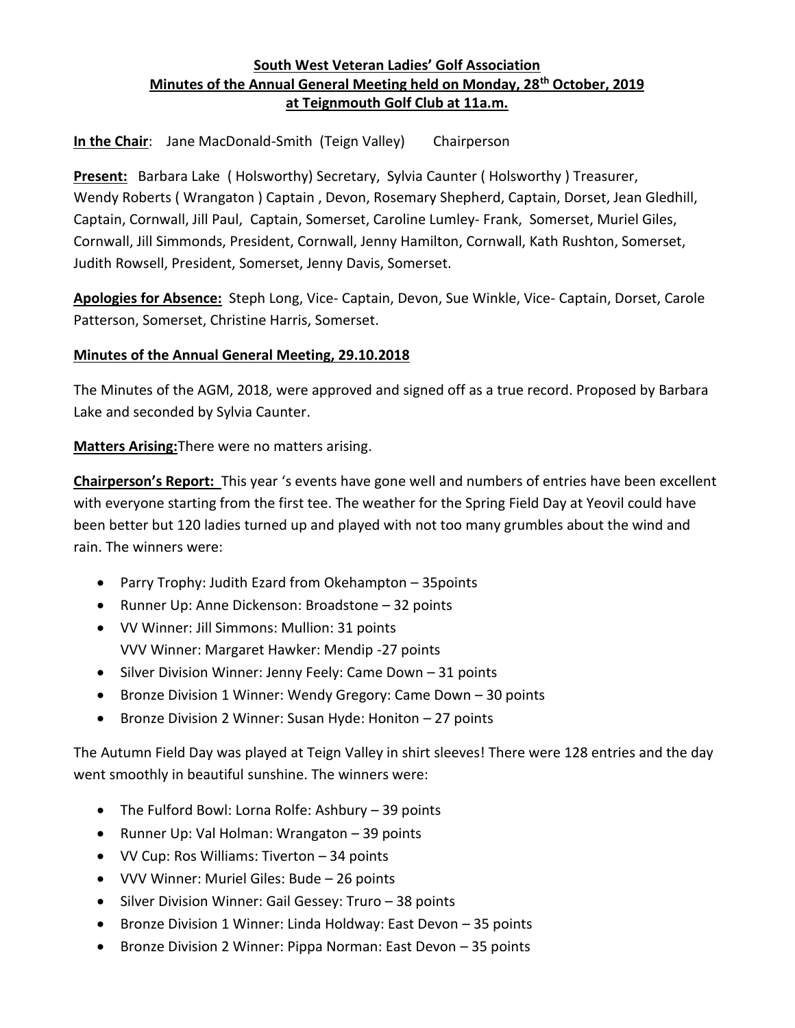## **South West Veteran Ladies' Golf Association Minutes of the Annual General Meeting held on Monday, 28th October, 2019 at Teignmouth Golf Club at 11a.m.**

**In the Chair**: Jane MacDonald-Smith (Teign Valley) Chairperson

**Present:** Barbara Lake ( Holsworthy) Secretary, Sylvia Caunter ( Holsworthy ) Treasurer, Wendy Roberts ( Wrangaton ) Captain , Devon, Rosemary Shepherd, Captain, Dorset, Jean Gledhill, Captain, Cornwall, Jill Paul, Captain, Somerset, Caroline Lumley- Frank, Somerset, Muriel Giles, Cornwall, Jill Simmonds, President, Cornwall, Jenny Hamilton, Cornwall, Kath Rushton, Somerset, Judith Rowsell, President, Somerset, Jenny Davis, Somerset.

**Apologies for Absence:** Steph Long, Vice- Captain, Devon, Sue Winkle, Vice- Captain, Dorset, Carole Patterson, Somerset, Christine Harris, Somerset.

#### **Minutes of the Annual General Meeting, 29.10.2018**

The Minutes of the AGM, 2018, were approved and signed off as a true record. Proposed by Barbara Lake and seconded by Sylvia Caunter.

**Matters Arising:**There were no matters arising.

**Chairperson's Report:** This year 's events have gone well and numbers of entries have been excellent with everyone starting from the first tee. The weather for the Spring Field Day at Yeovil could have been better but 120 ladies turned up and played with not too many grumbles about the wind and rain. The winners were:

- Parry Trophy: Judith Ezard from Okehampton 35points
- Runner Up: Anne Dickenson: Broadstone 32 points
- VV Winner: Jill Simmons: Mullion: 31 points VVV Winner: Margaret Hawker: Mendip -27 points
- Silver Division Winner: Jenny Feely: Came Down 31 points
- Bronze Division 1 Winner: Wendy Gregory: Came Down 30 points
- Bronze Division 2 Winner: Susan Hyde: Honiton 27 points

The Autumn Field Day was played at Teign Valley in shirt sleeves! There were 128 entries and the day went smoothly in beautiful sunshine. The winners were:

- The Fulford Bowl: Lorna Rolfe: Ashbury 39 points
- Runner Up: Val Holman: Wrangaton 39 points
- VV Cup: Ros Williams: Tiverton 34 points
- VVV Winner: Muriel Giles: Bude 26 points
- Silver Division Winner: Gail Gessey: Truro 38 points
- Bronze Division 1 Winner: Linda Holdway: East Devon 35 points
- Bronze Division 2 Winner: Pippa Norman: East Devon 35 points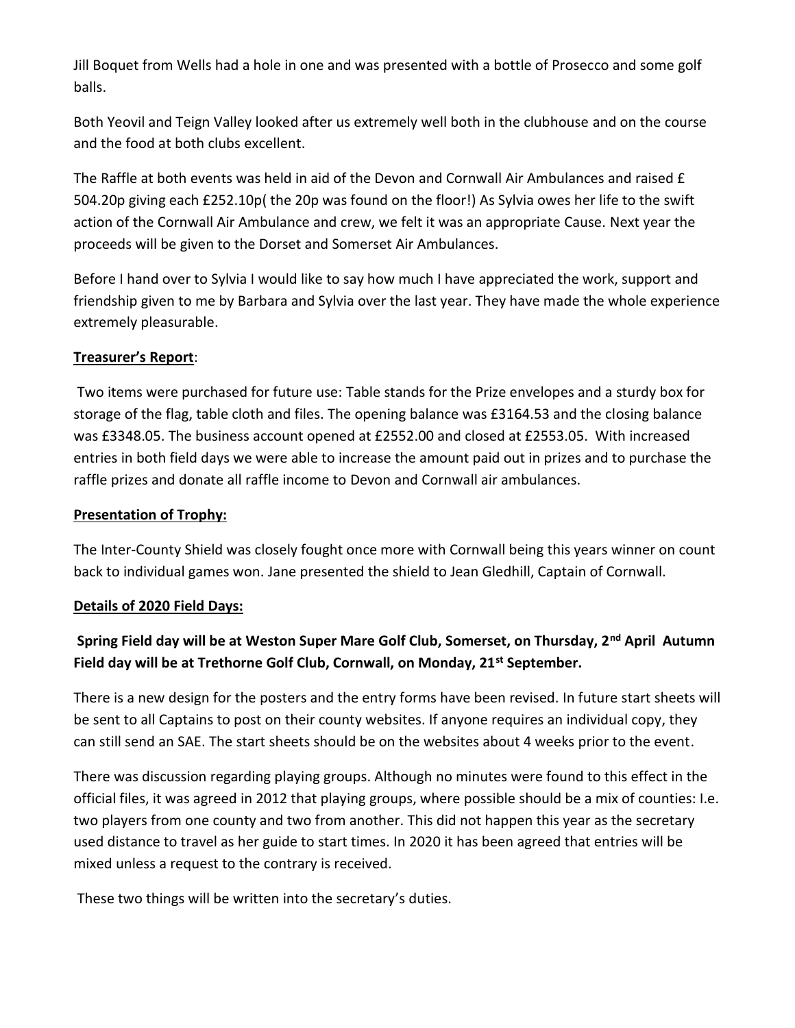Jill Boquet from Wells had a hole in one and was presented with a bottle of Prosecco and some golf balls.

Both Yeovil and Teign Valley looked after us extremely well both in the clubhouse and on the course and the food at both clubs excellent.

The Raffle at both events was held in aid of the Devon and Cornwall Air Ambulances and raised £ 504.20p giving each £252.10p( the 20p was found on the floor!) As Sylvia owes her life to the swift action of the Cornwall Air Ambulance and crew, we felt it was an appropriate Cause. Next year the proceeds will be given to the Dorset and Somerset Air Ambulances.

Before I hand over to Sylvia I would like to say how much I have appreciated the work, support and friendship given to me by Barbara and Sylvia over the last year. They have made the whole experience extremely pleasurable.

### **Treasurer's Report**:

Two items were purchased for future use: Table stands for the Prize envelopes and a sturdy box for storage of the flag, table cloth and files. The opening balance was £3164.53 and the closing balance was £3348.05. The business account opened at £2552.00 and closed at £2553.05. With increased entries in both field days we were able to increase the amount paid out in prizes and to purchase the raffle prizes and donate all raffle income to Devon and Cornwall air ambulances.

#### **Presentation of Trophy:**

The Inter-County Shield was closely fought once more with Cornwall being this years winner on count back to individual games won. Jane presented the shield to Jean Gledhill, Captain of Cornwall.

#### **Details of 2020 Field Days:**

# **Spring Field day will be at Weston Super Mare Golf Club, Somerset, on Thursday, 2nd April Autumn Field day will be at Trethorne Golf Club, Cornwall, on Monday, 21st September.**

There is a new design for the posters and the entry forms have been revised. In future start sheets will be sent to all Captains to post on their county websites. If anyone requires an individual copy, they can still send an SAE. The start sheets should be on the websites about 4 weeks prior to the event.

There was discussion regarding playing groups. Although no minutes were found to this effect in the official files, it was agreed in 2012 that playing groups, where possible should be a mix of counties: I.e. two players from one county and two from another. This did not happen this year as the secretary used distance to travel as her guide to start times. In 2020 it has been agreed that entries will be mixed unless a request to the contrary is received.

These two things will be written into the secretary's duties.